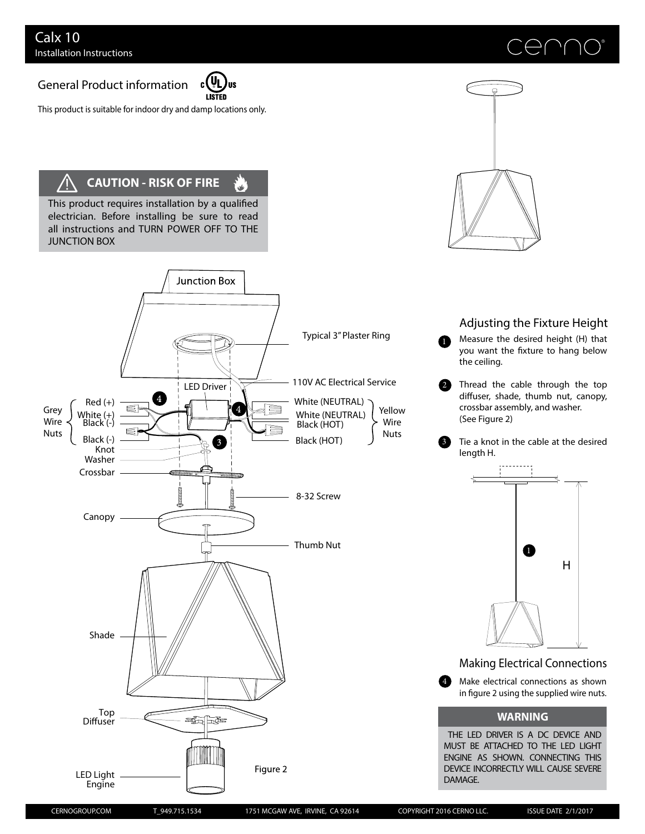## General Product information



ا<br>است

This product is suitable for indoor dry and damp locations only.

## **CAUTION - RISK OF FIRE** /l

This product requires installation by a qualified electrician. Before installing be sure to read all instructions and TURN POWER OFF TO THE JUNCTION BOX







Measure the desired height (H) that you want the fixture to hang below the ceiling. 0

Thread the cable through the top diffuser, shade, thumb nut, canopy, crossbar assembly, and washer. (See Figure 2) 2

Tie a knot in the cable at the desired length H. 3



Making Electrical Connections

Make electrical connections as shown in figure 2 using the supplied wire nuts. 4

## **WARNING**

THE LED DRIVER IS A DC DEVICE AND MUST BE ATTACHED TO THE LED LIGHT ENGINE AS SHOWN. CONNECTING THIS DEVICE INCORRECTLY WILL CAUSE SEVERE DAMAGE.